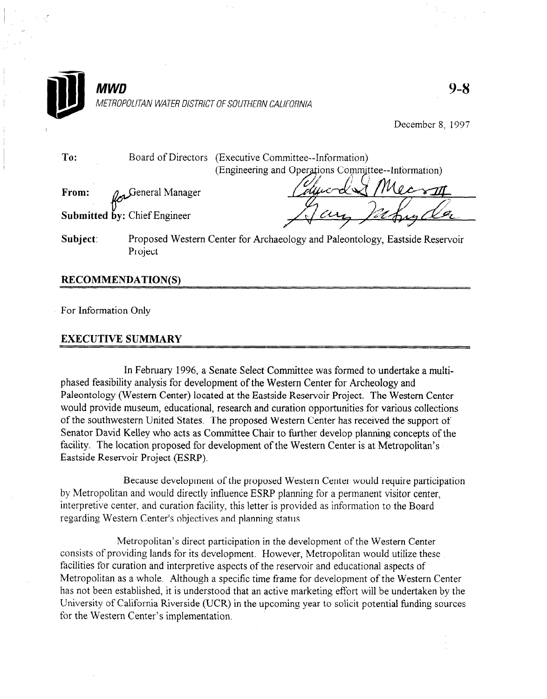

December 8, 1997

To: Board of Directors (Executive Committee--Information) (Engineering and Operations Committee--Information)

From:  $\rho_{\rm m}$  General Manager

Submitted by: Chief Engineer

Subject: Proposed Western Center for Archaeology and Paleontology, Eastside Reservoir Project

## RECOMMENDATION(S)

For Information Only

## EXECUTIVE SUMMARY

In February 1996, a Senate Select Committee was formed to undertake a multiphased feasibility analysis for development of the Western Center for Archeology and Paleontology (Western Center) located at the Eastside Reservoir Project. The Western Center would provide museum, educational, research and curation opportunities for various collections of the southwestern United States. The proposed Western Center has received the support of Senator David Kelley who acts as Committee Chair to further develop planning concepts of the facility. The location proposed for development of the Western Center is at Metropolitan's Eastside Reservoir Project (ESRP).

Because development of the proposed Western Center would require participation by Metropolitan and would directly influence ESRP planning for a permanent visitor center, interpretive center, and curation facility, this letter is provided as information to the Board regarding Western Center's objectives and planning status.

Metropolitan's direct participation in the development of the Western Center consists of providing lands for its development. However, Metropolitan would utilize these facilities for curation and interpretive aspects of the reservoir and educational aspects of Metropolitan as a whole. Although a specific time frame for development of the Western Center has not been established, it is understood that an active marketing effort will be undertaken by the University of California Riverside (UCR) in the upcoming year to solicit potential funding sources for the Western Center's implementation.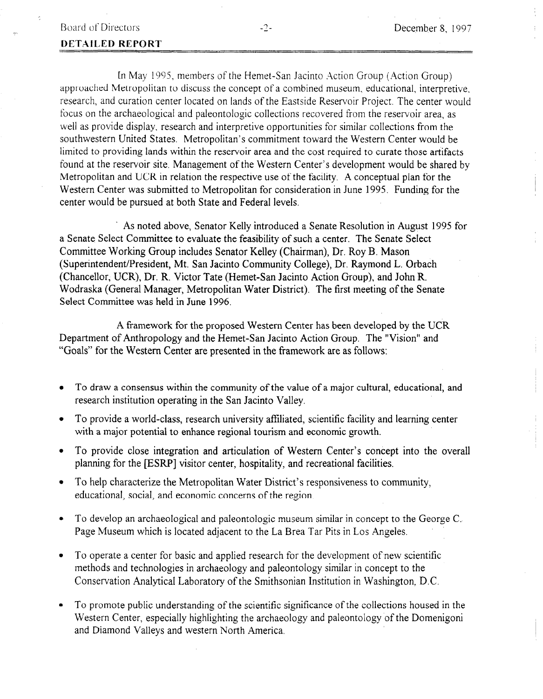## DETAILED REPORT

In May 1995, members of the Hemet-San Jacinto Action Group (Action Group) approached Metropolitan to discuss the concept of a combined museum, educational, interpretive. research, and curation center located on lands of the Eastside Reservoir Project. The center would focus on the archaeological and paleontologic collections recovered from the reservoir area, as well as provide display, research and interpretive opportunities for similar collections from the southwestern United States. Metropolitan's commitment toward the Western Center would be limited to providing lands within the reservoir area and the cost required to curate those artifacts found at the reservoir site. Management of the Western Center's development would be shared by Metropolitan and UCR in relation the respective use of the facility. A conceptual plan for the Western Center was submitted to Metropolitan for consideration in June 1995. Funding for the center would be pursued at both State and Federal levels.

. As noted above, Senator Kelly introduced a Senate Resolution in August 1995 for a Senate Select Committee to evaluate the feasibility of such a center. The Senate Select Committee Working Group includes Senator Kelley (Chairman), Dr. Roy B. Mason (Superintendent/President, Mt. San Jacinto Community College), Dr. Raymond L. Orbach (Chancellor, UCR), Dr. R. Victor Tate (Hemet-San Jacinto Action Group), and John R. Wodraska (General Manager, Metropolitan Water District). The first meeting of the Senate Select Committee was held in June 1996.

A framework for the proposed Western Center has been developed by the UCR Department of Anthropology and the Hemet-San Jacinto Action Group. The "Vision" and "Goals" for the Western Center are presented in the framework are as follows:

- <sup>l</sup>To draw a consensus within the community of the value of a major cultural, educational, and research institution operation operation operation operation operation operation operation operation operation values.
- lTo provide a world-class, research university affiliated, scientific facility affiliated, scientific facility and learning centers  $\alpha$ To provide a world-class, research university and alternative racinty and  $\mu$
- <sup>l</sup>To provide close integration and articulation of Western Center's concept into the overall 10 provide close integration and articulation of western Center's concep <sup>l</sup>To help characterize the Metropolitan Water District's responsiveness to community,
- To help characterize the Metropolitan Water District's responsiveness to community, educational, social, and economic concerns of the region.
- To develop an archaeological and paleontologic museum similar in concept to the George C.<br>Page Museum which is located adjacent to the La Brea Tar Pits in Los Angeles.
- To operate a center for basic and applied research for the development of new scientific methods and technologies in archaeology and paleontology similar in concept to the Conservation Analytical Laboratory of the Smithsonian Institution in Washington, D.C.
- To promote public understanding of the scientific significance of the collections housed in the Western Center, especially highlighting the archaeology and paleontology of the Domenigoni and Diamond Valleys and western North America.